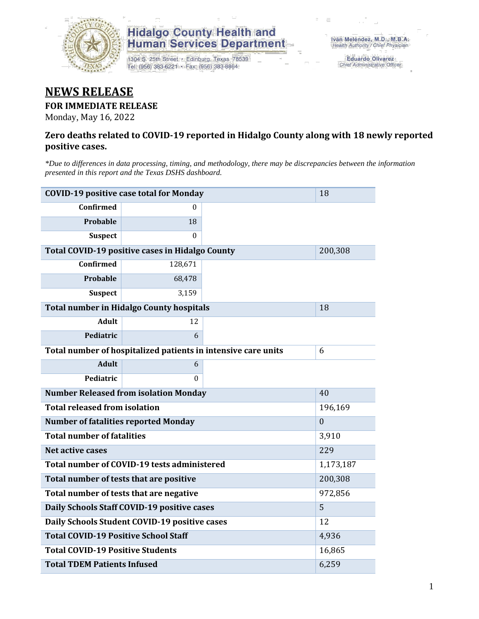

# **Hidalgo County Health and<br>Human Services Department**

1304 S. 25th Street · Edinburg, Texas 78539 Tel: (956) 383-6221 · Fax: (956) 383-8864

Eduardo Olivarez Chief Administrative Officer

## **NEWS RELEASE**

#### **FOR IMMEDIATE RELEASE**

Monday, May 16, 2022

#### **Zero deaths related to COVID-19 reported in Hidalgo County along with 18 newly reported positive cases.**

*\*Due to differences in data processing, timing, and methodology, there may be discrepancies between the information presented in this report and the Texas DSHS dashboard.*

| <b>COVID-19 positive case total for Monday</b>         | 18                                                            |              |  |
|--------------------------------------------------------|---------------------------------------------------------------|--------------|--|
| <b>Confirmed</b>                                       | $\theta$                                                      |              |  |
| <b>Probable</b>                                        | 18                                                            |              |  |
| <b>Suspect</b>                                         | $\Omega$                                                      |              |  |
| <b>Total COVID-19 positive cases in Hidalgo County</b> |                                                               | 200,308      |  |
| <b>Confirmed</b>                                       | 128,671                                                       |              |  |
| Probable                                               | 68,478                                                        |              |  |
| <b>Suspect</b>                                         | 3,159                                                         |              |  |
| <b>Total number in Hidalgo County hospitals</b>        |                                                               | 18           |  |
| <b>Adult</b>                                           | 12                                                            |              |  |
| Pediatric                                              | 6                                                             |              |  |
|                                                        | Total number of hospitalized patients in intensive care units | 6            |  |
| <b>Adult</b>                                           | 6                                                             |              |  |
| Pediatric                                              | $\Omega$                                                      |              |  |
| <b>Number Released from isolation Monday</b>           |                                                               | 40           |  |
| <b>Total released from isolation</b>                   |                                                               | 196,169      |  |
| <b>Number of fatalities reported Monday</b>            |                                                               | $\mathbf{0}$ |  |
| <b>Total number of fatalities</b>                      |                                                               | 3,910        |  |
| <b>Net active cases</b>                                |                                                               | 229          |  |
| Total number of COVID-19 tests administered            | 1,173,187                                                     |              |  |
| Total number of tests that are positive                | 200,308                                                       |              |  |
| Total number of tests that are negative                |                                                               | 972,856      |  |
| Daily Schools Staff COVID-19 positive cases            |                                                               | 5            |  |
| Daily Schools Student COVID-19 positive cases          | 12                                                            |              |  |
| <b>Total COVID-19 Positive School Staff</b>            | 4,936                                                         |              |  |
| <b>Total COVID-19 Positive Students</b>                | 16,865                                                        |              |  |
| <b>Total TDEM Patients Infused</b>                     | 6,259                                                         |              |  |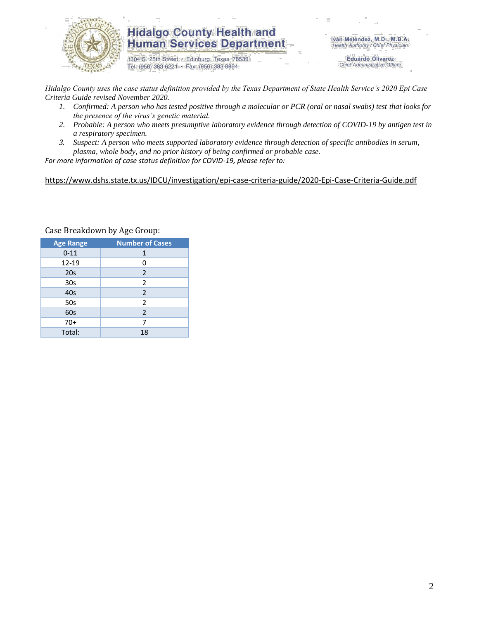

### **Hidalgo County Health and Human Services Department**

1304 S. 25th Street · Edinburg, Texas 78539 Tel: (956) 383-6221 · Fax: (956) 383-8864

Iván Meléndez, M.D., M.B.A. Health Authority / Chief Physician

> **Eduardo Olivarez** Chief Administrative Officer

*Hidalgo County uses the case status definition provided by the Texas Department of State Health Service's 2020 Epi Case Criteria Guide revised November 2020.*

- *1. Confirmed: A person who has tested positive through a molecular or PCR (oral or nasal swabs) test that looks for the presence of the virus's genetic material.*
- *2. Probable: A person who meets presumptive laboratory evidence through detection of COVID-19 by antigen test in a respiratory specimen.*
- *3. Suspect: A person who meets supported laboratory evidence through detection of specific antibodies in serum, plasma, whole body, and no prior history of being confirmed or probable case.*

*For more information of case status definition for COVID-19, please refer to:*

<https://www.dshs.state.tx.us/IDCU/investigation/epi-case-criteria-guide/2020-Epi-Case-Criteria-Guide.pdf>

| <b>Age Range</b> | <b>Number of Cases</b> |  |  |  |
|------------------|------------------------|--|--|--|
| $0 - 11$         | 1                      |  |  |  |
| $12 - 19$        | 0                      |  |  |  |
| 20 <sub>s</sub>  | 2                      |  |  |  |
| 30 <sub>s</sub>  | 2                      |  |  |  |
| 40s              | 2                      |  |  |  |
| 50s              | $\overline{2}$         |  |  |  |
| 60s              | 2                      |  |  |  |
| $70+$            | 7                      |  |  |  |
| Total:           | 18                     |  |  |  |

Case Breakdown by Age Group: